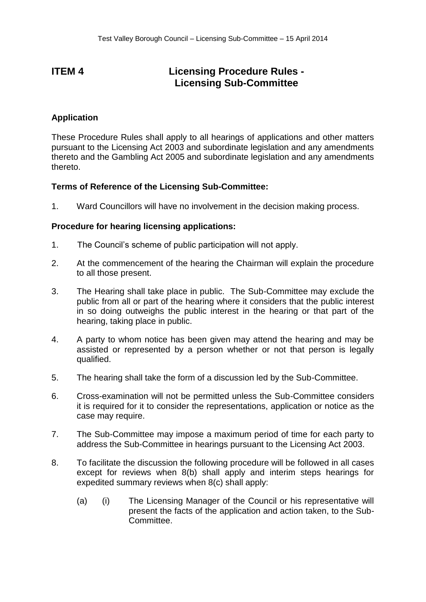## **ITEM 4 Licensing Procedure Rules - Licensing Sub-Committee**

## **Application**

These Procedure Rules shall apply to all hearings of applications and other matters pursuant to the Licensing Act 2003 and subordinate legislation and any amendments thereto and the Gambling Act 2005 and subordinate legislation and any amendments thereto.

## **Terms of Reference of the Licensing Sub-Committee:**

1. Ward Councillors will have no involvement in the decision making process.

## **Procedure for hearing licensing applications:**

- 1. The Council's scheme of public participation will not apply.
- 2. At the commencement of the hearing the Chairman will explain the procedure to all those present.
- 3. The Hearing shall take place in public. The Sub-Committee may exclude the public from all or part of the hearing where it considers that the public interest in so doing outweighs the public interest in the hearing or that part of the hearing, taking place in public.
- 4. A party to whom notice has been given may attend the hearing and may be assisted or represented by a person whether or not that person is legally qualified.
- 5. The hearing shall take the form of a discussion led by the Sub-Committee.
- 6. Cross-examination will not be permitted unless the Sub-Committee considers it is required for it to consider the representations, application or notice as the case may require.
- 7. The Sub-Committee may impose a maximum period of time for each party to address the Sub-Committee in hearings pursuant to the Licensing Act 2003.
- 8. To facilitate the discussion the following procedure will be followed in all cases except for reviews when 8(b) shall apply and interim steps hearings for expedited summary reviews when 8(c) shall apply:
	- (a) (i) The Licensing Manager of the Council or his representative will present the facts of the application and action taken, to the Sub-Committee.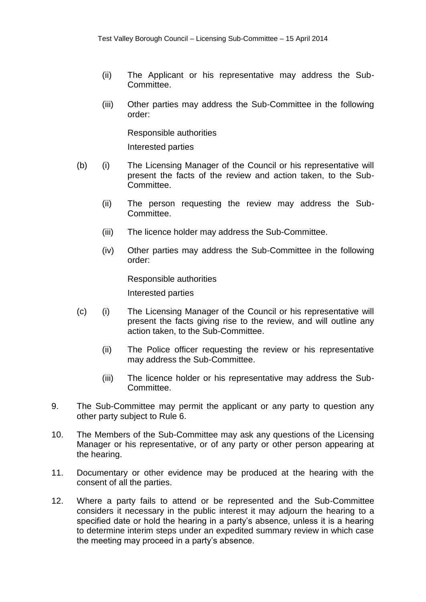- (ii) The Applicant or his representative may address the Sub-Committee.
- (iii) Other parties may address the Sub-Committee in the following order:

Responsible authorities

Interested parties

- (b) (i) The Licensing Manager of the Council or his representative will present the facts of the review and action taken, to the Sub-Committee.
	- (ii) The person requesting the review may address the Sub-Committee.
	- (iii) The licence holder may address the Sub-Committee.
	- (iv) Other parties may address the Sub-Committee in the following order:

Responsible authorities Interested parties

- (c) (i) The Licensing Manager of the Council or his representative will present the facts giving rise to the review, and will outline any action taken, to the Sub-Committee.
	- (ii) The Police officer requesting the review or his representative may address the Sub-Committee.
	- (iii) The licence holder or his representative may address the Sub-Committee.
- 9. The Sub-Committee may permit the applicant or any party to question any other party subject to Rule 6.
- 10. The Members of the Sub-Committee may ask any questions of the Licensing Manager or his representative, or of any party or other person appearing at the hearing.
- 11. Documentary or other evidence may be produced at the hearing with the consent of all the parties.
- 12. Where a party fails to attend or be represented and the Sub-Committee considers it necessary in the public interest it may adjourn the hearing to a specified date or hold the hearing in a party's absence, unless it is a hearing to determine interim steps under an expedited summary review in which case the meeting may proceed in a party's absence.